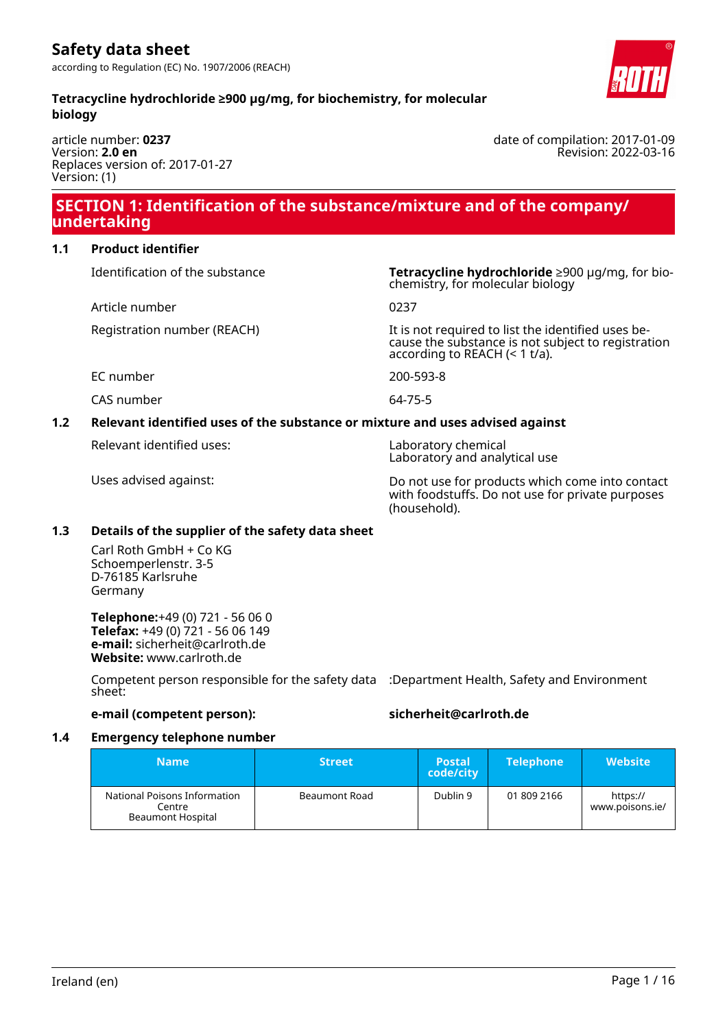date of compilation: 2017-01-09

Revision: 2022-03-16

#### **Tetracycline hydrochloride ≥900 µg/mg, for biochemistry, for molecular biology**

article number: **0237** Version: **2.0 en** Replaces version of: 2017-01-27 Version: (1)

# **SECTION 1: Identification of the substance/mixture and of the company/ undertaking**

#### **1.1 Product identifier**

Article number 0237

Identification of the substance **Tetracycline hydrochloride** ≥900 µg/mg, for biochemistry, for molecular biology

Registration number (REACH) It is not required to list the identified uses because the substance is not subject to registration according to REACH (< 1 t/a).

EC number 200-593-8

CAS number 64-75-5

# **1.2 Relevant identified uses of the substance or mixture and uses advised against**

Relevant identified uses: Laboratory chemical

Laboratory and analytical use

Uses advised against: Do not use for products which come into contact with foodstuffs. Do not use for private purposes (household).

#### **1.3 Details of the supplier of the safety data sheet**

Carl Roth GmbH + Co KG Schoemperlenstr. 3-5 D-76185 Karlsruhe Germany

**Telephone:**+49 (0) 721 - 56 06 0 **Telefax:** +49 (0) 721 - 56 06 149 **e-mail:** sicherheit@carlroth.de **Website:** www.carlroth.de

Competent person responsible for the safety data :Department Health, Safety and Environment sheet:

### **e-mail (competent person): sicherheit@carlroth.de**

#### **1.4 Emergency telephone number**

| <b>Name</b>                                                        | <b>Street</b> | <b>Postal</b><br>code/city | <b>Telephone</b> | <b>Website</b>              |
|--------------------------------------------------------------------|---------------|----------------------------|------------------|-----------------------------|
| National Poisons Information<br>Centre<br><b>Beaumont Hospital</b> | Beaumont Road | Dublin 9                   | 01 809 2166      | https://<br>www.poisons.ie/ |

Ireland (en) Page 1 / 16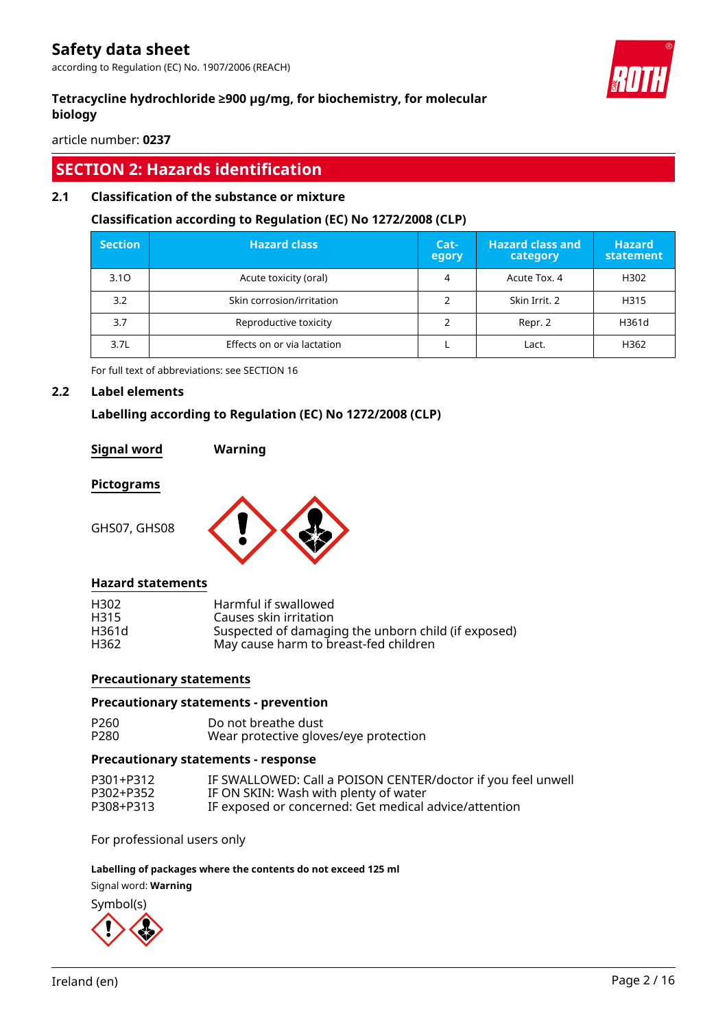according to Regulation (EC) No. 1907/2006 (REACH)

### **Tetracycline hydrochloride ≥900 µg/mg, for biochemistry, for molecular biology**

article number: **0237**

# **SECTION 2: Hazards identification**

#### **2.1 Classification of the substance or mixture**

#### **Classification according to Regulation (EC) No 1272/2008 (CLP)**

| <b>Section</b> | <b>Hazard class</b>         | Cat-<br>egory | <b>Hazard class and</b><br>category | <b>Hazard</b><br>statement |
|----------------|-----------------------------|---------------|-------------------------------------|----------------------------|
| 3.10           | Acute toxicity (oral)       | 4             | Acute Tox. 4                        | H302                       |
| 3.2            | Skin corrosion/irritation   |               | Skin Irrit, 2                       | H315                       |
| 3.7            | Reproductive toxicity       |               | Repr. 2                             | H361d                      |
| 3.7L           | Effects on or via lactation |               | Lact.                               | H362                       |

For full text of abbreviations: see SECTION 16

#### **2.2 Label elements**

#### **Labelling according to Regulation (EC) No 1272/2008 (CLP)**

#### **Signal word Warning**

#### **Pictograms**

GHS07, GHS08



#### **Hazard statements**

| H302             | Harmful if swallowed                                |
|------------------|-----------------------------------------------------|
| H <sub>315</sub> | Causes skin irritation                              |
| H361d            | Suspected of damaging the unborn child (if exposed) |
| H362             | May cause harm to breast-fed children               |

#### **Precautionary statements**

#### **Precautionary statements - prevention**

| P260 | Do not breathe dust                   |
|------|---------------------------------------|
| P280 | Wear protective gloves/eye protection |

#### **Precautionary statements - response**

| P301+P312 | IF SWALLOWED: Call a POISON CENTER/doctor if you feel unwell |
|-----------|--------------------------------------------------------------|
| P302+P352 | IF ON SKIN: Wash with plenty of water                        |
| P308+P313 | IF exposed or concerned: Get medical advice/attention        |

For professional users only

#### **Labelling of packages where the contents do not exceed 125 ml**

Signal word: **Warning**



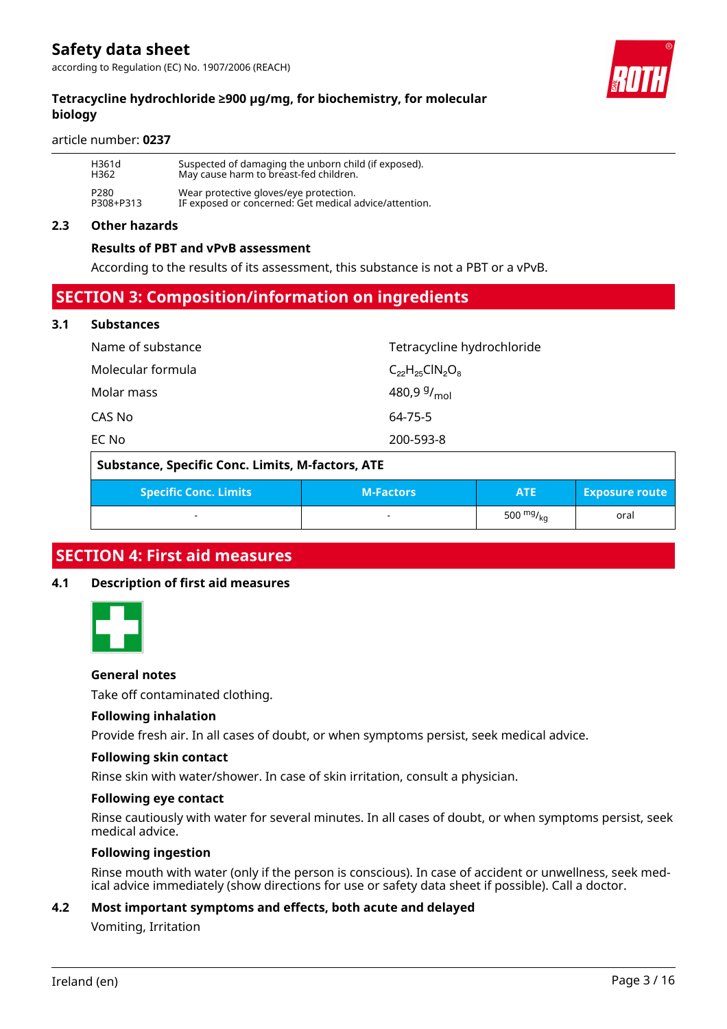### **Tetracycline hydrochloride ≥900 µg/mg, for biochemistry, for molecular biology**

#### article number: **0237**

| H361d            | Suspected of damaging the unborn child (if exposed).   |
|------------------|--------------------------------------------------------|
| H362             | May cause harm to breast-fed children.                 |
| P <sub>280</sub> | Wear protective gloves/eye protection.                 |
| P308+P313        | IF exposed or concerned: Get medical advice/attention. |

#### **2.3 Other hazards**

#### **Results of PBT and vPvB assessment**

According to the results of its assessment, this substance is not a PBT or a vPvB.

# **SECTION 3: Composition/information on ingredients**

#### **3.1 Substances**

| Name of substance | Tetracycline hydrochloride |
|-------------------|----------------------------|
| Molecular formula | $C_{22}H_{25}CIN_2O_8$     |
| Molar mass        | 480,9 $9/$ <sub>mol</sub>  |
| CAS No            | 64-75-5                    |
| EC No             | 200-593-8                  |
|                   |                            |

| Substance, Specific Conc. Limits, M-factors, ATE |                  |                |                       |  |
|--------------------------------------------------|------------------|----------------|-----------------------|--|
| <b>Specific Conc. Limits</b>                     | <b>M-Factors</b> | <b>ATE</b>     | <b>Exposure route</b> |  |
|                                                  |                  | 500 $mg/k_{0}$ | oral                  |  |

# **SECTION 4: First aid measures**

#### **4.1 Description of first aid measures**



#### **General notes**

Take off contaminated clothing.

#### **Following inhalation**

Provide fresh air. In all cases of doubt, or when symptoms persist, seek medical advice.

#### **Following skin contact**

Rinse skin with water/shower. In case of skin irritation, consult a physician.

#### **Following eye contact**

Rinse cautiously with water for several minutes. In all cases of doubt, or when symptoms persist, seek medical advice.

#### **Following ingestion**

Rinse mouth with water (only if the person is conscious). In case of accident or unwellness, seek medical advice immediately (show directions for use or safety data sheet if possible). Call a doctor.

#### **4.2 Most important symptoms and effects, both acute and delayed**

Vomiting, Irritation

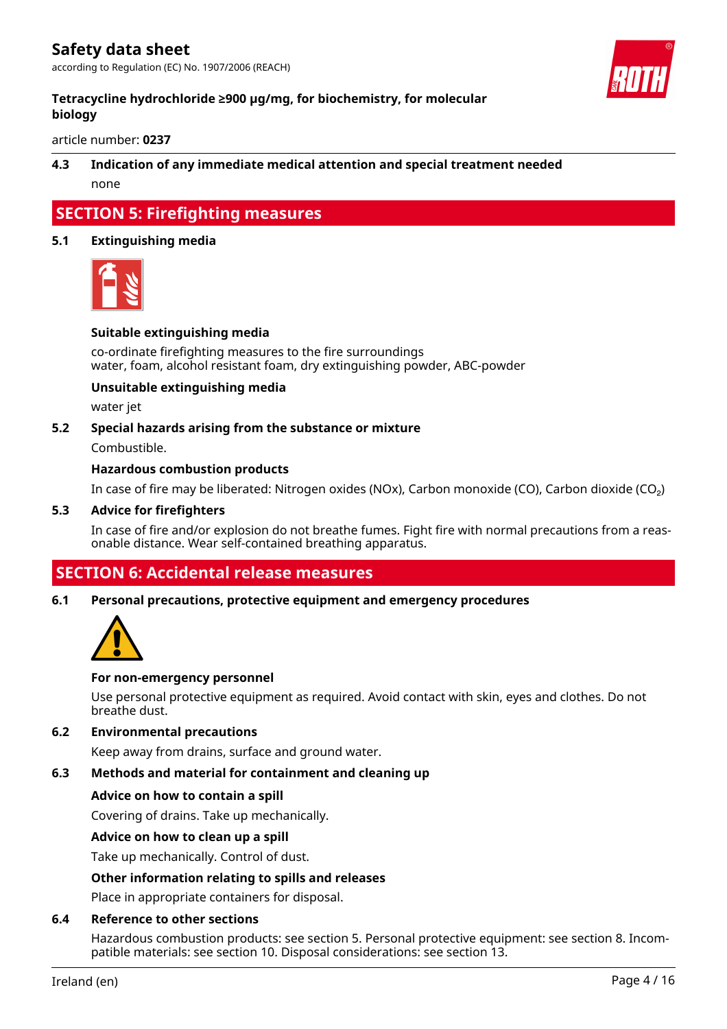

### **Tetracycline hydrochloride ≥900 µg/mg, for biochemistry, for molecular biology**

article number: **0237**

### **4.3 Indication of any immediate medical attention and special treatment needed** none

# **SECTION 5: Firefighting measures**

#### **5.1 Extinguishing media**



#### **Suitable extinguishing media**

co-ordinate firefighting measures to the fire surroundings water, foam, alcohol resistant foam, dry extinguishing powder, ABC-powder

#### **Unsuitable extinguishing media**

water jet

#### **5.2 Special hazards arising from the substance or mixture**

Combustible.

#### **Hazardous combustion products**

In case of fire may be liberated: Nitrogen oxides (NOx), Carbon monoxide (CO), Carbon dioxide (CO₂)

#### **5.3 Advice for firefighters**

In case of fire and/or explosion do not breathe fumes. Fight fire with normal precautions from a reasonable distance. Wear self-contained breathing apparatus.

# **SECTION 6: Accidental release measures**

#### **6.1 Personal precautions, protective equipment and emergency procedures**



#### **For non-emergency personnel**

Use personal protective equipment as required. Avoid contact with skin, eyes and clothes. Do not breathe dust.

### **6.2 Environmental precautions**

Keep away from drains, surface and ground water.

#### **6.3 Methods and material for containment and cleaning up**

#### **Advice on how to contain a spill**

Covering of drains. Take up mechanically.

#### **Advice on how to clean up a spill**

Take up mechanically. Control of dust.

#### **Other information relating to spills and releases**

Place in appropriate containers for disposal.

#### **6.4 Reference to other sections**

Hazardous combustion products: see section 5. Personal protective equipment: see section 8. Incompatible materials: see section 10. Disposal considerations: see section 13.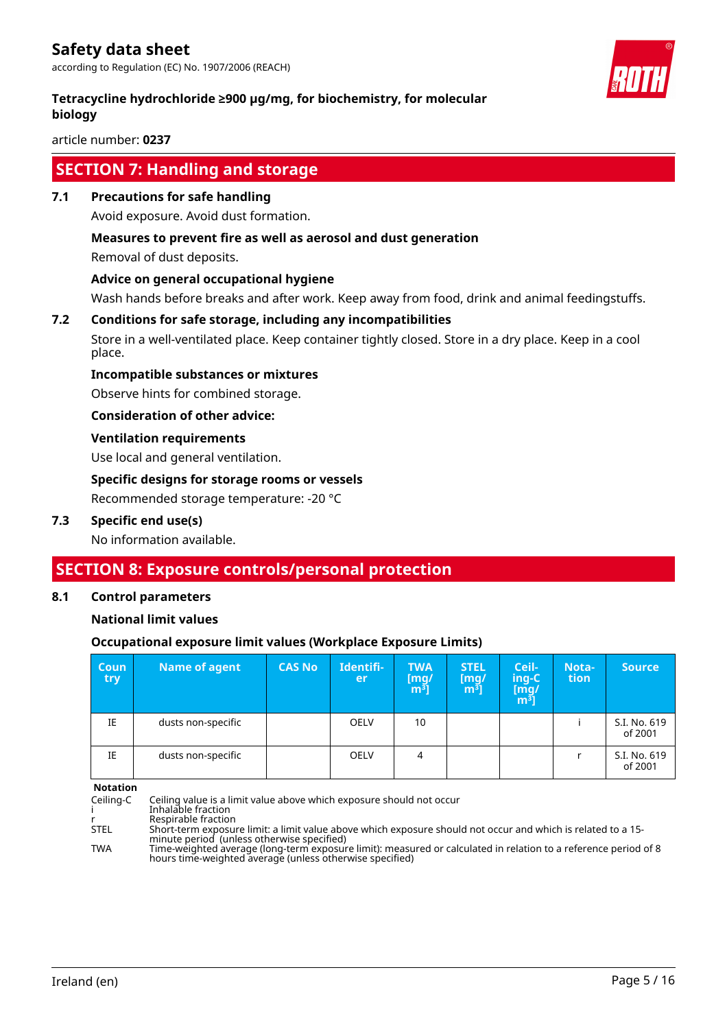according to Regulation (EC) No. 1907/2006 (REACH)

#### **Tetracycline hydrochloride ≥900 µg/mg, for biochemistry, for molecular biology**

article number: **0237**

# **SECTION 7: Handling and storage**

**7.1 Precautions for safe handling**

Avoid exposure. Avoid dust formation.

#### **Measures to prevent fire as well as aerosol and dust generation**

Removal of dust deposits.

#### **Advice on general occupational hygiene**

Wash hands before breaks and after work. Keep away from food, drink and animal feedingstuffs.

#### **7.2 Conditions for safe storage, including any incompatibilities**

Store in a well-ventilated place. Keep container tightly closed. Store in a dry place. Keep in a cool place.

#### **Incompatible substances or mixtures**

Observe hints for combined storage.

**Consideration of other advice:**

#### **Ventilation requirements**

Use local and general ventilation.

#### **Specific designs for storage rooms or vessels**

Recommended storage temperature: -20 °C

#### **7.3 Specific end use(s)**

No information available.

# **SECTION 8: Exposure controls/personal protection**

#### **8.1 Control parameters**

#### **National limit values**

#### **Occupational exposure limit values (Workplace Exposure Limits)**

| <b>Coun</b><br>try | <b>Name of agent</b> | <b>CAS No</b> | Identifi-<br>er | <b>TWA</b><br>$\begin{bmatrix} \text{mg/} \\ \text{m}^3 \end{bmatrix}$ | <b>STEL</b><br>$\mathsf{[mq]}$<br>m <sup>3</sup> | Ceil-<br>ing-C<br>[m͡g/<br>m͡ <sup>ɜ</sup> ] | Nota-<br>tion | <b>Source</b>           |
|--------------------|----------------------|---------------|-----------------|------------------------------------------------------------------------|--------------------------------------------------|----------------------------------------------|---------------|-------------------------|
| IE                 | dusts non-specific   |               | <b>OELV</b>     | 10                                                                     |                                                  |                                              |               | S.I. No. 619<br>of 2001 |
| IE                 | dusts non-specific   |               | <b>OELV</b>     | 4                                                                      |                                                  |                                              |               | S.I. No. 619<br>of 2001 |

**Notation**

Ceiling-C Ceiling value is a limit value above which exposure should not occur i Inhalable fraction r Respirable fraction<br>STEL Short-term exposu Short-term exposure limit: a limit value above which exposure should not occur and which is related to a 15minute period (unless otherwise specified) TWA Time-weighted average (long-term exposure limit): measured or calculated in relation to a reference period of 8 hours time-weighted average (unless otherwise specified)

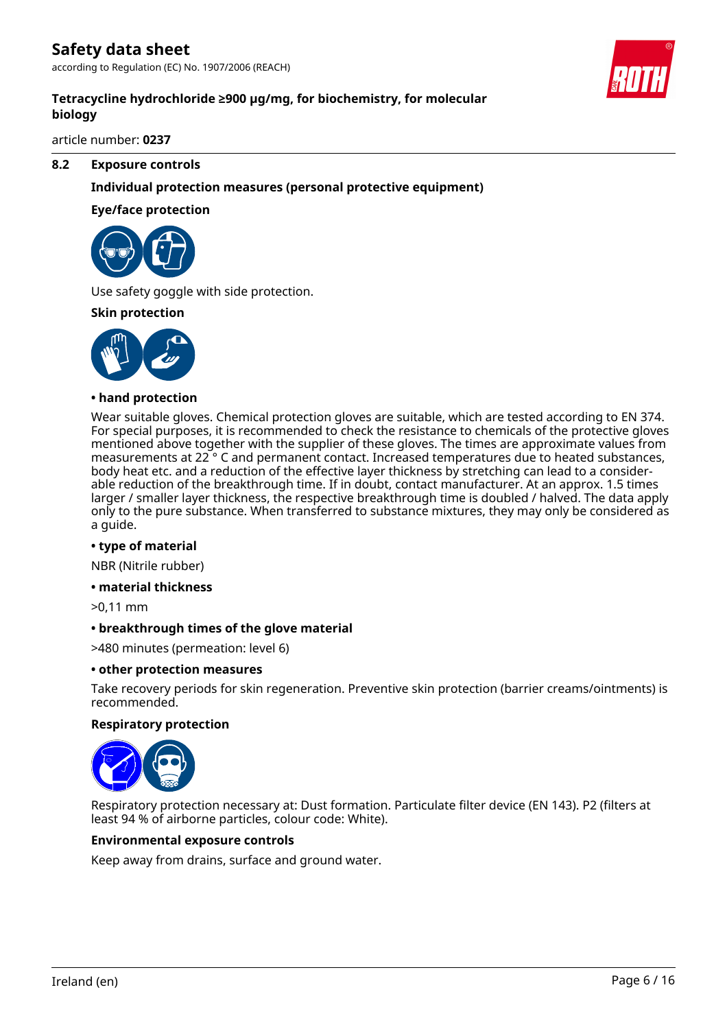according to Regulation (EC) No. 1907/2006 (REACH)

### **Tetracycline hydrochloride ≥900 µg/mg, for biochemistry, for molecular biology**

article number: **0237**

#### **8.2 Exposure controls**

#### **Individual protection measures (personal protective equipment)**

#### **Eye/face protection**



Use safety goggle with side protection.

#### **Skin protection**



#### **• hand protection**

Wear suitable gloves. Chemical protection gloves are suitable, which are tested according to EN 374. For special purposes, it is recommended to check the resistance to chemicals of the protective gloves mentioned above together with the supplier of these gloves. The times are approximate values from measurements at 22 ° C and permanent contact. Increased temperatures due to heated substances, body heat etc. and a reduction of the effective layer thickness by stretching can lead to a considerable reduction of the breakthrough time. If in doubt, contact manufacturer. At an approx. 1.5 times larger / smaller layer thickness, the respective breakthrough time is doubled / halved. The data apply only to the pure substance. When transferred to substance mixtures, they may only be considered as a guide.

#### **• type of material**

NBR (Nitrile rubber)

#### **• material thickness**

>0,11 mm

#### **• breakthrough times of the glove material**

>480 minutes (permeation: level 6)

#### **• other protection measures**

Take recovery periods for skin regeneration. Preventive skin protection (barrier creams/ointments) is recommended.

#### **Respiratory protection**



Respiratory protection necessary at: Dust formation. Particulate filter device (EN 143). P2 (filters at least 94 % of airborne particles, colour code: White).

#### **Environmental exposure controls**

Keep away from drains, surface and ground water.

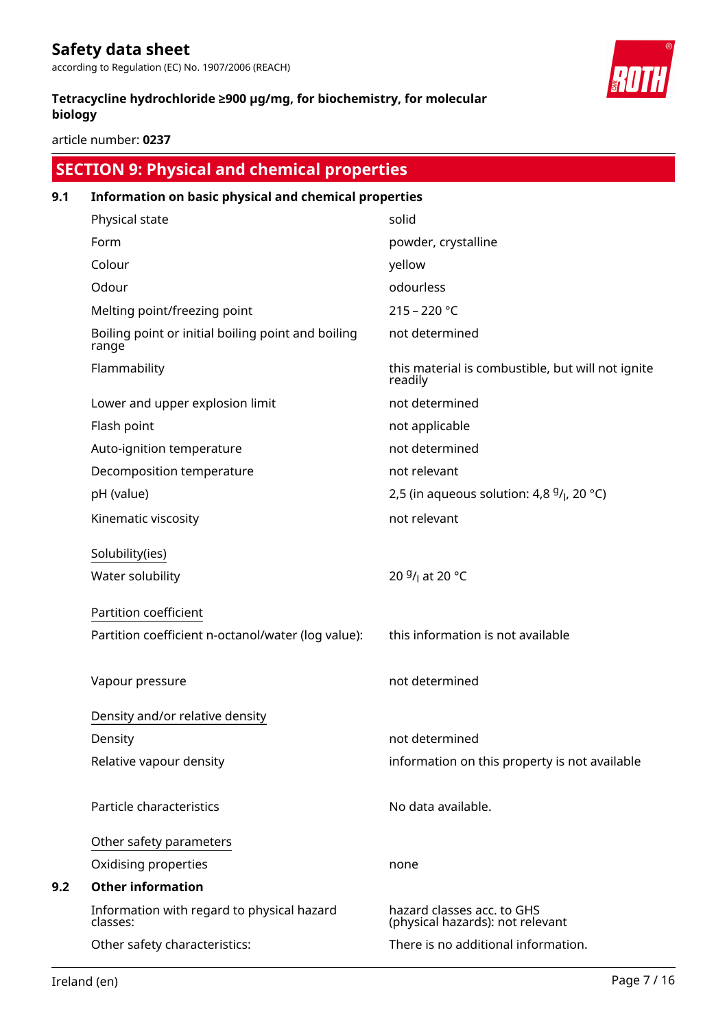according to Regulation (EC) No. 1907/2006 (REACH)

### **Tetracycline hydrochloride ≥900 µg/mg, for biochemistry, for molecular biology**

article number: **0237**

# **SECTION 9: Physical and chemical properties**

# **9.1 Information on basic physical and chemical properties** Physical state solid Form **Form** powder, crystalline Colour yellow Odour de la contracteur de la contracteur de la contracteur de la contracteur de la contracteur de la contracteur de la contracteur de la contracteur de la contracteur de la contracteur de la contracteur de la contracteur Melting point/freezing point 215 - 220 °C Boiling point or initial boiling point and boiling range not determined Flammability **this material is combustible, but will not ignite** readily Lower and upper explosion limit not determined Flash point **not applicable** Auto-ignition temperature not determined Decomposition temperature not relevant pH (value)  $2,5$  (in aqueous solution: 4,8  $9/$ , 20 °C) Kinematic viscosity not relevant Solubility(ies) Water solubility /<sub>l</sub> at 20 °C Partition coefficient Partition coefficient n-octanol/water (log value): this information is not available Vapour pressure not determined Density and/or relative density Density **Density** not determined Relative vapour density information on this property is not available Particle characteristics **No observe that a** No data available. Other safety parameters Oxidising properties and the control of the properties of the control of the control of the control of the control of the control of the control of the control of the control of the control of the control of the control of **9.2 Other information** Information with regard to physical hazard classes: hazard classes acc. to GHS (physical hazards): not relevant Other safety characteristics: There is no additional information.

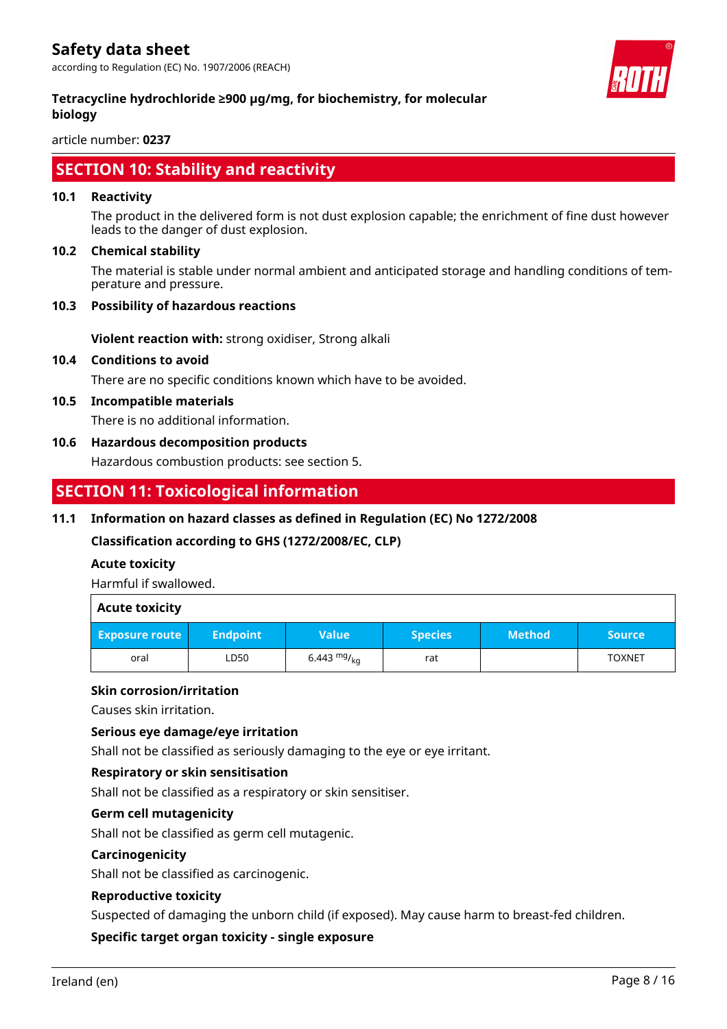

### **Tetracycline hydrochloride ≥900 µg/mg, for biochemistry, for molecular biology**

article number: **0237**

# **SECTION 10: Stability and reactivity**

#### **10.1 Reactivity**

The product in the delivered form is not dust explosion capable; the enrichment of fine dust however leads to the danger of dust explosion.

#### **10.2 Chemical stability**

The material is stable under normal ambient and anticipated storage and handling conditions of temperature and pressure.

#### **10.3 Possibility of hazardous reactions**

**Violent reaction with:** strong oxidiser, Strong alkali

#### **10.4 Conditions to avoid**

There are no specific conditions known which have to be avoided.

#### **10.5 Incompatible materials**

There is no additional information.

#### **10.6 Hazardous decomposition products**

Hazardous combustion products: see section 5.

# **SECTION 11: Toxicological information**

#### **11.1 Information on hazard classes as defined in Regulation (EC) No 1272/2008**

**Classification according to GHS (1272/2008/EC, CLP)**

#### **Acute toxicity**

Harmful if swallowed.

| <b>Acute toxicity</b> |                 |               |                |               |               |
|-----------------------|-----------------|---------------|----------------|---------------|---------------|
| <b>Exposure route</b> | <b>Endpoint</b> | <b>Value</b>  | <b>Species</b> | <b>Method</b> | <b>Source</b> |
| oral                  | LD50            | 6.443 $mg/kq$ | rat            |               | <b>TOXNET</b> |

#### **Skin corrosion/irritation**

Causes skin irritation.

#### **Serious eye damage/eye irritation**

Shall not be classified as seriously damaging to the eye or eye irritant.

#### **Respiratory or skin sensitisation**

Shall not be classified as a respiratory or skin sensitiser.

#### **Germ cell mutagenicity**

Shall not be classified as germ cell mutagenic.

#### **Carcinogenicity**

Shall not be classified as carcinogenic.

#### **Reproductive toxicity**

Suspected of damaging the unborn child (if exposed). May cause harm to breast-fed children.

#### **Specific target organ toxicity - single exposure**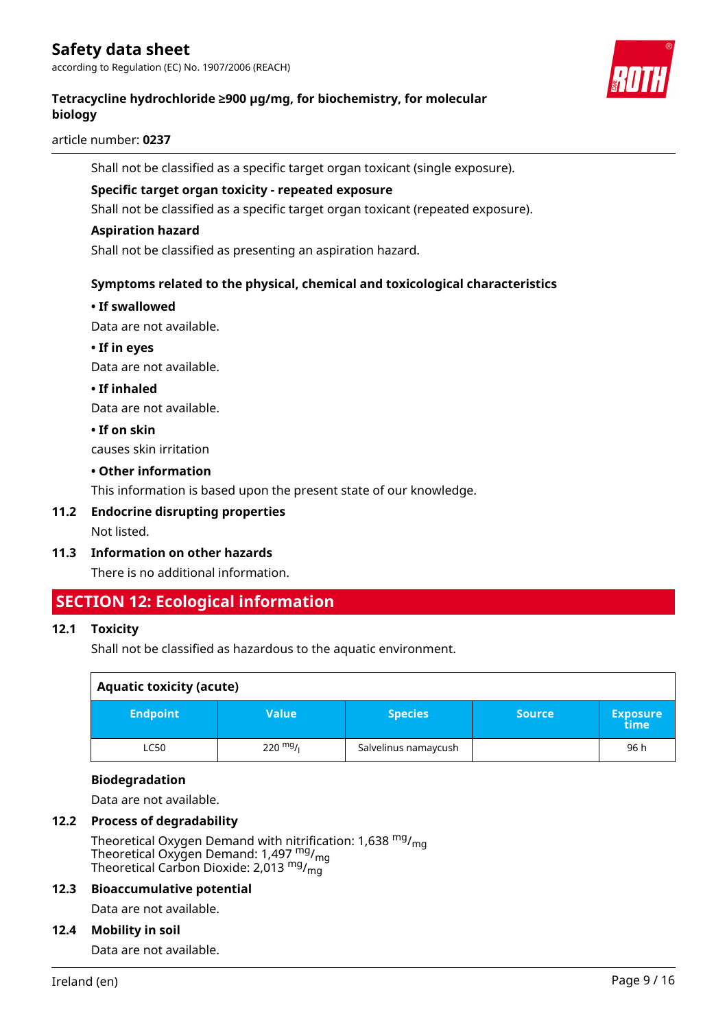according to Regulation (EC) No. 1907/2006 (REACH)



### **Tetracycline hydrochloride ≥900 µg/mg, for biochemistry, for molecular biology**

article number: **0237**

Shall not be classified as a specific target organ toxicant (single exposure).

#### **Specific target organ toxicity - repeated exposure**

Shall not be classified as a specific target organ toxicant (repeated exposure).

#### **Aspiration hazard**

Shall not be classified as presenting an aspiration hazard.

#### **Symptoms related to the physical, chemical and toxicological characteristics**

#### **• If swallowed**

Data are not available.

**• If in eyes**

Data are not available.

#### **• If inhaled**

Data are not available.

#### **• If on skin**

causes skin irritation

#### **• Other information**

This information is based upon the present state of our knowledge.

#### **11.2 Endocrine disrupting properties** Not listed.

#### **11.3 Information on other hazards**

There is no additional information.

# **SECTION 12: Ecological information**

#### **12.1 Toxicity**

Shall not be classified as hazardous to the aquatic environment.

| <b>Aquatic toxicity (acute)</b> |                    |                      |               |                         |  |
|---------------------------------|--------------------|----------------------|---------------|-------------------------|--|
| <b>Endpoint</b>                 | <b>Value</b>       | <b>Species</b>       | <b>Source</b> | <b>Exposure</b><br>time |  |
| <b>LC50</b>                     | $220 \frac{mg}{l}$ | Salvelinus namaycush |               | 96 h                    |  |

#### **Biodegradation**

Data are not available.

#### **12.2 Process of degradability**

Theoretical Oxygen Demand with nitrification: 1,638 <sup>mg</sup>/<sub>mg</sub> Theoretical Oxygen Demand: 1,497  $_{\text{mg}}^{\text{mg}}$ / $_{\text{mg}}$ Theoretical Carbon Dioxide: 2,013  $^{\mathsf{mg}}\prime_{\mathsf{mg}}$ 

#### **12.3 Bioaccumulative potential**

Data are not available.

#### **12.4 Mobility in soil**

Data are not available.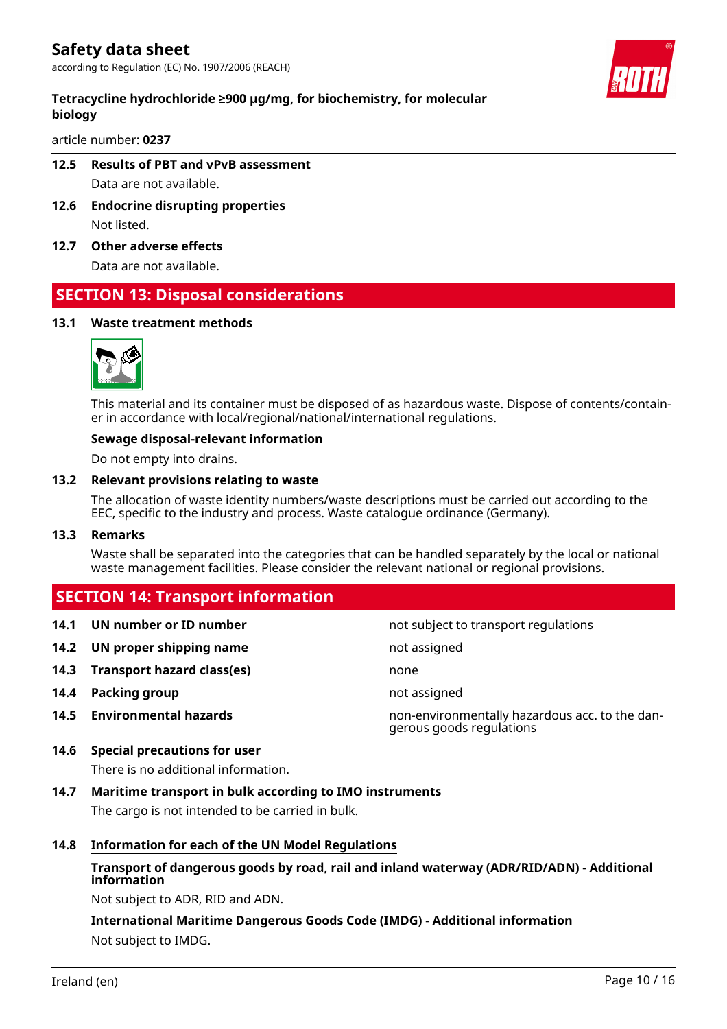### **Tetracycline hydrochloride ≥900 µg/mg, for biochemistry, for molecular biology**

article number: **0237**

# **12.5 Results of PBT and vPvB assessment**

Data are not available.

- **12.6 Endocrine disrupting properties** Not listed.
- **12.7 Other adverse effects**

Data are not available.

# **SECTION 13: Disposal considerations**

#### **13.1 Waste treatment methods**



This material and its container must be disposed of as hazardous waste. Dispose of contents/container in accordance with local/regional/national/international regulations.

#### **Sewage disposal-relevant information**

Do not empty into drains.

#### **13.2 Relevant provisions relating to waste**

The allocation of waste identity numbers/waste descriptions must be carried out according to the EEC, specific to the industry and process. Waste catalogue ordinance (Germany).

#### **13.3 Remarks**

Waste shall be separated into the categories that can be handled separately by the local or national waste management facilities. Please consider the relevant national or regional provisions.

# **SECTION 14: Transport information**

| 14.1 | UN number or ID number            | not subject to transport regulations                                       |
|------|-----------------------------------|----------------------------------------------------------------------------|
|      | 14.2 UN proper shipping name      | not assigned                                                               |
|      | 14.3 Transport hazard class(es)   | none                                                                       |
|      | 14.4 Packing group                | not assigned                                                               |
|      | <b>14.5 Environmental hazards</b> | non-environmentally hazardous acc. to the dan-<br>gerous goods regulations |

## **14.6 Special precautions for user** There is no additional information.

# **14.7 Maritime transport in bulk according to IMO instruments**

The cargo is not intended to be carried in bulk.

#### **14.8 Information for each of the UN Model Regulations**

# **Transport of dangerous goods by road, rail and inland waterway (ADR/RID/ADN) - Additional information**

Not subject to ADR, RID and ADN.

# **International Maritime Dangerous Goods Code (IMDG) - Additional information** Not subject to IMDG.

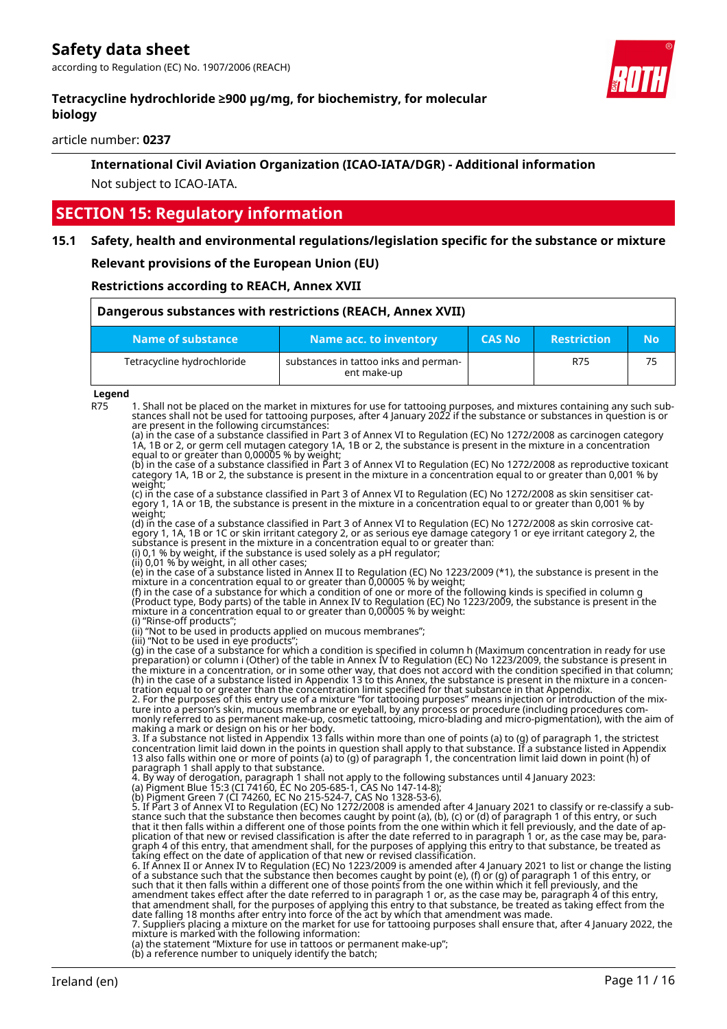

#### **Tetracycline hydrochloride ≥900 µg/mg, for biochemistry, for molecular biology**

article number: **0237**

# **International Civil Aviation Organization (ICAO-IATA/DGR) - Additional information** Not subject to ICAO-IATA.

# **SECTION 15: Regulatory information**

#### **15.1 Safety, health and environmental regulations/legislation specific for the substance or mixture**

#### **Relevant provisions of the European Union (EU)**

#### **Restrictions according to REACH, Annex XVII**

| Dangerous substances with restrictions (REACH, Annex XVII) |                                                      |               |                    |    |
|------------------------------------------------------------|------------------------------------------------------|---------------|--------------------|----|
| Name of substance                                          | Name acc. to inventory                               | <b>CAS No</b> | <b>Restriction</b> | No |
| Tetracycline hydrochloride                                 | substances in tattoo inks and perman-<br>ent make-up |               | R75                | 75 |

# **Legend**<br>R75

R75 1. Shall not be placed on the market in mixtures for use for tattooing purposes, and mixtures containing any such substances shall not be used for tattooing purposes, after 4 January 2022 if the substance or substances in question is or are present in the following circumstances:

(a) in the case of a substance classified in Part 3 of Annex VI to Regulation (EC) No 1272/2008 as carcinogen category 1A, 1B or 2, or germ cell mutagen category 1A, 1B or 2, the substance is present in the mixture in a concentration equal to or greater than 0,00005 % by weight;

(b) in the case of a substance classified in Part 3 of Annex VI to Regulation (EC) No 1272/2008 as reproductive toxicant category 1A, 1B or 2, the substance is present in the mixture in a concentration equal to or greater than 0,001 % by weight;

(c) in the case of a substance classified in Part 3 of Annex VI to Regulation (EC) No 1272/2008 as skin sensitiser category 1, 1A or 1B, the substance is present in the mixture in a concentration equal to or greater than 0,001 % by weight;

(d) in the case of a substance classified in Part 3 of Annex VI to Regulation (EC) No 1272/2008 as skin corrosive category 1, 1A, 1B or 1C or skin irritant category 2, or as serious eye damage category 1 or eye irritant category 2, the substance is present in the mixture in a concentration equal to or greater than:

(i) 0,1 % by weight, if the substance is used solely as a pH regulator;

(ii) 0,01 % by weight, in all other cases;

(e) in the case of a substance listed in Annex II to Regulation (EC) No 1223/2009 (\*1), the substance is present in the mixture in a concentration equal to or greater than 0,00005 % by weight;

(f) in the case of a substance for which a condition of one or more of the following kinds is specified in column g (Product type, Body parts) of the table in Annex IV to Regulation (EC) No 1223/2009, the substance is present in the mixture in a concentration equal to or greater than 0,00005 % by weight: (i) "Rinse-off products";

(ii) "Not to be used in products applied on mucous membranes";

(iii) "Not to be used in eye products"; (g) in the case of a substance for which a condition is specified in column h (Maximum concentration in ready for use preparation) or column i (Other) of the table in Annex IV to Regulation (EC) No 1223/2009, the substance is present in the mixture in a concentration, or in some other way, that does not accord with the condition specified in that column; (h) in the case of a substance listed in Appendix 13 to this Annex, the substance is present in the mixture in a concentration equal to or greater than the concentration limit specified for that substance in that Appendix.

2. For the purposes of this entry use of a mixture "for tattooing purposes" means injection or introduction of the mixture into a person's skin, mucous membrane or eyeball, by any process or procedure (including procedures commonly referred to as permanent make-up, cosmetic tattooing, micro-blading and micro-pigmentation), with the aim of making a mark or design on his or her body.

3. If a substance not listed in Appendix 13 falls within more than one of points (a) to (g) of paragraph 1, the strictest concentration limit laid down in the points in question shall apply to that substance. If a substance listed in Appendix 13 also falls within one or more of points (a) to (g) of paragraph 1, the concentration limit laid down in point (h) of paragraph 1 shall apply to that substance.

4. By way of derogation, paragraph 1 shall not apply to the following substances until 4 January 2023:

(a) Pigment Blue 15:3 (CI 74160, EC No 205-685-1, CAS No 147-14-8); (b) Pigment Green 7 (CI 74260, EC No 215-524-7, CAS No 1328-53-6).

5. If Part 3 of Annex VI to Regulation (EC) No 1272/2008 is amended after 4 January 2021 to classify or re-classify a substance such that the substance then becomes caught by point (a), (b), (c) or (d) of paragraph 1 of this entry, or such that it then falls within a different one of those points from the one within which it fell previously, and the date of application of that new or revised classification is after the date referred to in paragraph 1 or, as the case may be, paragraph 4 of this entry, that amendment shall, for the purposes of applying this entry to that substance, be treated as taking effect on the date of application of that new or revised classification.

6. If Annex II or Annex IV to Regulation (EC) No 1223/2009 is amended after 4 January 2021 to list or change the listing<br>of a substance such that the substance then becomes caught by point (e), (f) or (g) of paragraph 1 of amendment takes effect after the date referred to in paragraph 1 or, as the case may be, paragraph 4 of this entry, that amendment shall, for the purposes of applying this entry to that substance, be treated as taking effect from the date falling 18 months after entry into force of the act by which that amendment was made.

7. Suppliers placing a mixture on the market for use for tattooing purposes shall ensure that, after 4 January 2022, the mixture is marked with the following information:

(a) the statement "Mixture for use in tattoos or permanent make-up";

(b) a reference number to uniquely identify the batch;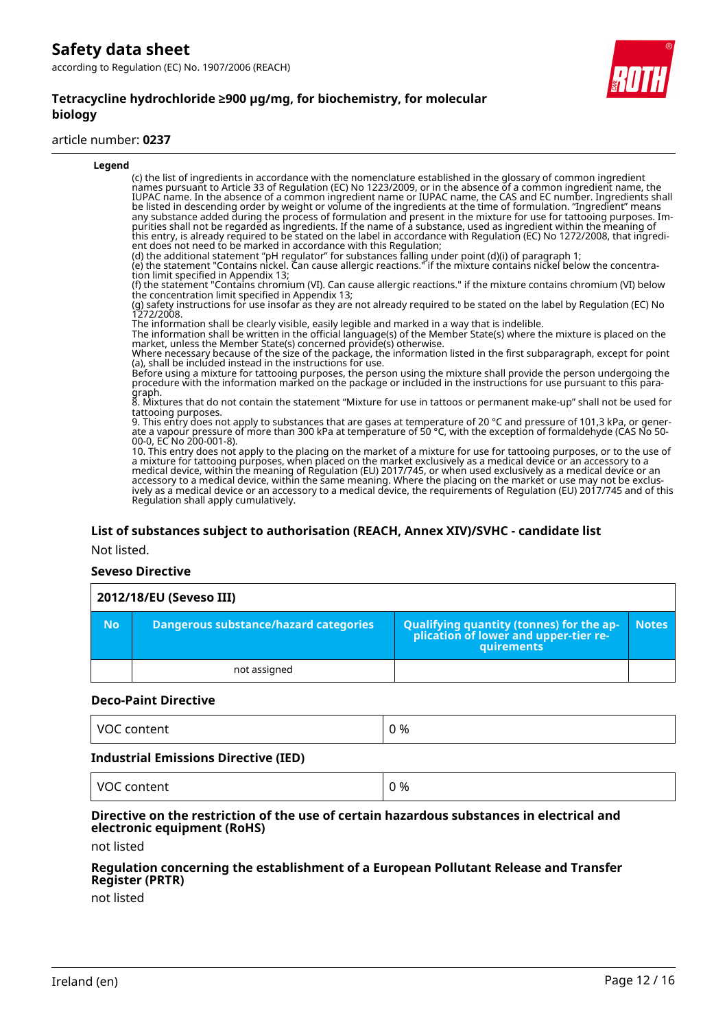#### **Tetracycline hydrochloride ≥900 µg/mg, for biochemistry, for molecular biology**

#### article number: **0237**



# **List of substances subject to authorisation (REACH, Annex XIV)/SVHC - candidate list**

Not listed.

#### **Seveso Directive**

| 2012/18/EU (Seveso III) |                                              |                                                                                                   |              |
|-------------------------|----------------------------------------------|---------------------------------------------------------------------------------------------------|--------------|
| <b>No</b>               | <b>Dangerous substance/hazard categories</b> | Qualifying quantity (tonnes) for the application of lower and upper-tier re-<br><b>auirements</b> | <b>Notes</b> |
|                         | not assigned                                 |                                                                                                   |              |

#### **Deco-Paint Directive**

| .<br>.<br>.<br>. | ገ %<br>__<br>$-$ |
|------------------|------------------|
|                  |                  |

#### **Industrial Emissions Directive (IED)**

VOC content  $\vert 0\% \vert$ 

#### **Directive on the restriction of the use of certain hazardous substances in electrical and electronic equipment (RoHS)**

not listed

#### **Regulation concerning the establishment of a European Pollutant Release and Transfer Register (PRTR)**

not listed

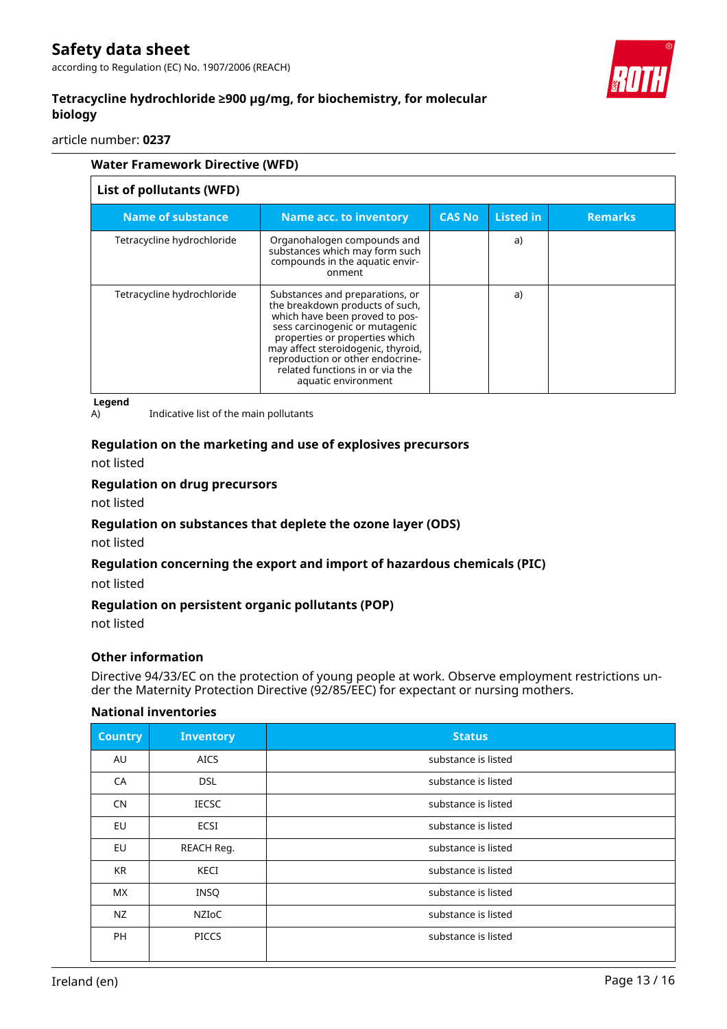according to Regulation (EC) No. 1907/2006 (REACH)



# **Tetracycline hydrochloride ≥900 µg/mg, for biochemistry, for molecular biology**

article number: **0237**

| <b>Water Framework Directive (WFD)</b> |                                                                                                                                                                                                                                                                                                              |               |                  |                |
|----------------------------------------|--------------------------------------------------------------------------------------------------------------------------------------------------------------------------------------------------------------------------------------------------------------------------------------------------------------|---------------|------------------|----------------|
| List of pollutants (WFD)               |                                                                                                                                                                                                                                                                                                              |               |                  |                |
| <b>Name of substance</b>               | Name acc. to inventory                                                                                                                                                                                                                                                                                       | <b>CAS No</b> | <b>Listed in</b> | <b>Remarks</b> |
| Tetracycline hydrochloride             | Organohalogen compounds and<br>substances which may form such<br>compounds in the aquatic envir-<br>onment                                                                                                                                                                                                   |               | a)               |                |
| Tetracycline hydrochloride             | Substances and preparations, or<br>the breakdown products of such,<br>which have been proved to pos-<br>sess carcinogenic or mutagenic<br>properties or properties which<br>may affect steroidogenic, thyroid,<br>reproduction or other endocrine-<br>related functions in or via the<br>aquatic environment |               | a)               |                |

**Legend**

A) Indicative list of the main pollutants

#### **Regulation on the marketing and use of explosives precursors**

not listed

#### **Regulation on drug precursors**

not listed

#### **Regulation on substances that deplete the ozone layer (ODS)**

not listed

#### **Regulation concerning the export and import of hazardous chemicals (PIC)**

not listed

#### **Regulation on persistent organic pollutants (POP)**

not listed

#### **Other information**

Directive 94/33/EC on the protection of young people at work. Observe employment restrictions under the Maternity Protection Directive (92/85/EEC) for expectant or nursing mothers.

#### **National inventories**

| <b>Country</b> | <b>Inventory</b> | <b>Status</b>       |
|----------------|------------------|---------------------|
| AU             | <b>AICS</b>      | substance is listed |
| CA             | <b>DSL</b>       | substance is listed |
| CN             | <b>IECSC</b>     | substance is listed |
| EU             | ECSI             | substance is listed |
| EU             | REACH Reg.       | substance is listed |
| <b>KR</b>      | KECI             | substance is listed |
| <b>MX</b>      | <b>INSQ</b>      | substance is listed |
| NZ             | NZIoC            | substance is listed |
| <b>PH</b>      | <b>PICCS</b>     | substance is listed |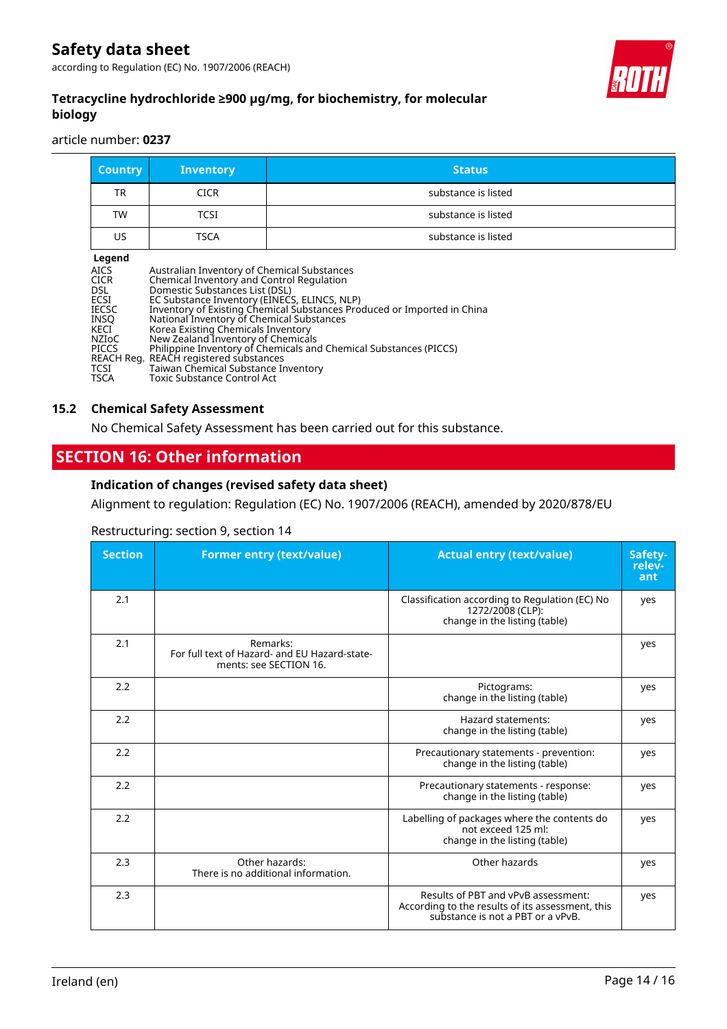according to Regulation (EC) No. 1907/2006 (REACH)



# **Tetracycline hydrochloride ≥900 µg/mg, for biochemistry, for molecular biology**

article number: **0237**

| <b>Country</b>                                                                                                                                    | <b>Inventory</b>                                                                                                                                                                                                                                                                                                                                                                                                    | <b>Status</b>                                                                                                                                |
|---------------------------------------------------------------------------------------------------------------------------------------------------|---------------------------------------------------------------------------------------------------------------------------------------------------------------------------------------------------------------------------------------------------------------------------------------------------------------------------------------------------------------------------------------------------------------------|----------------------------------------------------------------------------------------------------------------------------------------------|
| TR                                                                                                                                                | <b>CICR</b>                                                                                                                                                                                                                                                                                                                                                                                                         | substance is listed                                                                                                                          |
| TW                                                                                                                                                | TCSI                                                                                                                                                                                                                                                                                                                                                                                                                | substance is listed                                                                                                                          |
| US                                                                                                                                                | TSCA                                                                                                                                                                                                                                                                                                                                                                                                                | substance is listed                                                                                                                          |
| Legend<br><b>AICS</b><br><b>CICR</b><br>DSL<br>ECSI<br><b>IECSC</b><br><b>INSO</b><br>KECI<br>NZIoC<br><b>PICCS</b><br><b>TCSI</b><br><b>TSCA</b> | Australian Inventory of Chemical Substances<br>Chemical Inventory and Control Regulation<br>Domestic Substances List (DSL)<br>EC Substance Inventory (EINECS, ELINCS, NLP)<br>National Inventory of Chemical Substances<br>Korea Existing Chemicals Inventory<br>New Zealand Inventory of Chemicals<br>REACH Reg. REACH registered substances<br>Taiwan Chemical Substance Inventory<br>Toxic Substance Control Act | Inventory of Existing Chemical Substances Produced or Imported in China<br>Philippine Inventory of Chemicals and Chemical Substances (PICCS) |

#### **15.2 Chemical Safety Assessment**

No Chemical Safety Assessment has been carried out for this substance.

# **SECTION 16: Other information**

#### **Indication of changes (revised safety data sheet)**

Alignment to regulation: Regulation (EC) No. 1907/2006 (REACH), amended by 2020/878/EU

#### Restructuring: section 9, section 14

| <b>Section</b> | <b>Former entry (text/value)</b>                                                    | <b>Actual entry (text/value)</b>                                                                                             | Safety-<br>relev-<br>ant |
|----------------|-------------------------------------------------------------------------------------|------------------------------------------------------------------------------------------------------------------------------|--------------------------|
| 2.1            |                                                                                     | Classification according to Regulation (EC) No<br>1272/2008 (CLP):<br>change in the listing (table)                          | yes                      |
| 2.1            | Remarks:<br>For full text of Hazard- and EU Hazard-state-<br>ments: see SECTION 16. |                                                                                                                              | yes                      |
| 2.2            |                                                                                     | Pictograms:<br>change in the listing (table)                                                                                 | yes                      |
| 2.2            |                                                                                     | Hazard statements:<br>change in the listing (table)                                                                          | yes                      |
| 2.2            |                                                                                     | Precautionary statements - prevention:<br>change in the listing (table)                                                      | yes                      |
| 2.2            |                                                                                     | Precautionary statements - response:<br>change in the listing (table)                                                        | yes                      |
| 2.2            |                                                                                     | Labelling of packages where the contents do<br>not exceed 125 ml:<br>change in the listing (table)                           | yes                      |
| 2.3            | Other hazards:<br>There is no additional information.                               | Other hazards                                                                                                                | yes                      |
| 2.3            |                                                                                     | Results of PBT and vPvB assessment:<br>According to the results of its assessment, this<br>substance is not a PBT or a vPvB. | yes                      |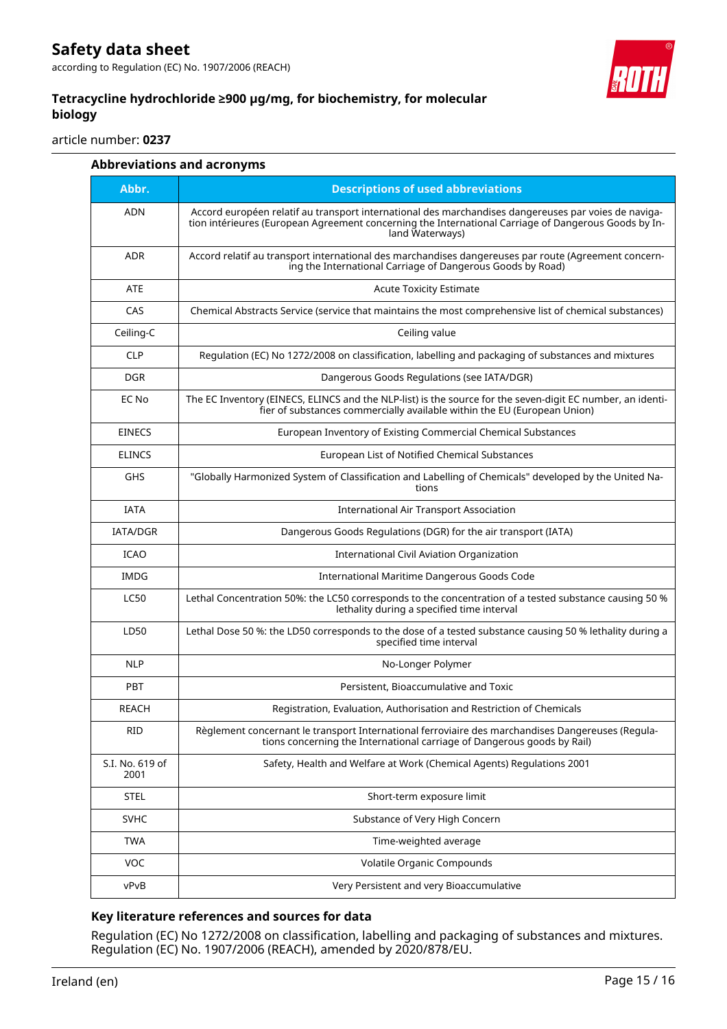

### **Tetracycline hydrochloride ≥900 µg/mg, for biochemistry, for molecular biology**

article number: **0237**

|                         | <b>Abbreviations and acronyms</b>                                                                                                                                                                                               |
|-------------------------|---------------------------------------------------------------------------------------------------------------------------------------------------------------------------------------------------------------------------------|
| Abbr.                   | <b>Descriptions of used abbreviations</b>                                                                                                                                                                                       |
| <b>ADN</b>              | Accord européen relatif au transport international des marchandises dangereuses par voies de naviga-<br>tion intérieures (European Agreement concerning the International Carriage of Dangerous Goods by In-<br>land Waterways) |
| <b>ADR</b>              | Accord relatif au transport international des marchandises dangereuses par route (Agreement concern-<br>ing the International Carriage of Dangerous Goods by Road)                                                              |
| <b>ATE</b>              | <b>Acute Toxicity Estimate</b>                                                                                                                                                                                                  |
| CAS                     | Chemical Abstracts Service (service that maintains the most comprehensive list of chemical substances)                                                                                                                          |
| Ceiling-C               | Ceiling value                                                                                                                                                                                                                   |
| <b>CLP</b>              | Regulation (EC) No 1272/2008 on classification, labelling and packaging of substances and mixtures                                                                                                                              |
| <b>DGR</b>              | Dangerous Goods Regulations (see IATA/DGR)                                                                                                                                                                                      |
| EC No                   | The EC Inventory (EINECS, ELINCS and the NLP-list) is the source for the seven-digit EC number, an identi-<br>fier of substances commercially available within the EU (European Union)                                          |
| <b>EINECS</b>           | European Inventory of Existing Commercial Chemical Substances                                                                                                                                                                   |
| <b>ELINCS</b>           | European List of Notified Chemical Substances                                                                                                                                                                                   |
| GHS                     | "Globally Harmonized System of Classification and Labelling of Chemicals" developed by the United Na-<br>tions                                                                                                                  |
| <b>IATA</b>             | <b>International Air Transport Association</b>                                                                                                                                                                                  |
| <b>IATA/DGR</b>         | Dangerous Goods Regulations (DGR) for the air transport (IATA)                                                                                                                                                                  |
| <b>ICAO</b>             | International Civil Aviation Organization                                                                                                                                                                                       |
| <b>IMDG</b>             | International Maritime Dangerous Goods Code                                                                                                                                                                                     |
| <b>LC50</b>             | Lethal Concentration 50%: the LC50 corresponds to the concentration of a tested substance causing 50 %<br>lethality during a specified time interval                                                                            |
| LD50                    | Lethal Dose 50 %: the LD50 corresponds to the dose of a tested substance causing 50 % lethality during a<br>specified time interval                                                                                             |
| <b>NLP</b>              | No-Longer Polymer                                                                                                                                                                                                               |
| <b>PBT</b>              | Persistent, Bioaccumulative and Toxic                                                                                                                                                                                           |
| <b>REACH</b>            | Registration, Evaluation, Authorisation and Restriction of Chemicals                                                                                                                                                            |
| RID                     | Règlement concernant le transport International ferroviaire des marchandises Dangereuses (Regula-<br>tions concerning the International carriage of Dangerous goods by Rail)                                                    |
| S.I. No. 619 of<br>2001 | Safety, Health and Welfare at Work (Chemical Agents) Regulations 2001                                                                                                                                                           |
| <b>STEL</b>             | Short-term exposure limit                                                                                                                                                                                                       |
| <b>SVHC</b>             | Substance of Very High Concern                                                                                                                                                                                                  |
| <b>TWA</b>              | Time-weighted average                                                                                                                                                                                                           |
| VOC                     | Volatile Organic Compounds                                                                                                                                                                                                      |
| vPvB                    | Very Persistent and very Bioaccumulative                                                                                                                                                                                        |

# **Key literature references and sources for data**

Regulation (EC) No 1272/2008 on classification, labelling and packaging of substances and mixtures. Regulation (EC) No. 1907/2006 (REACH), amended by 2020/878/EU.